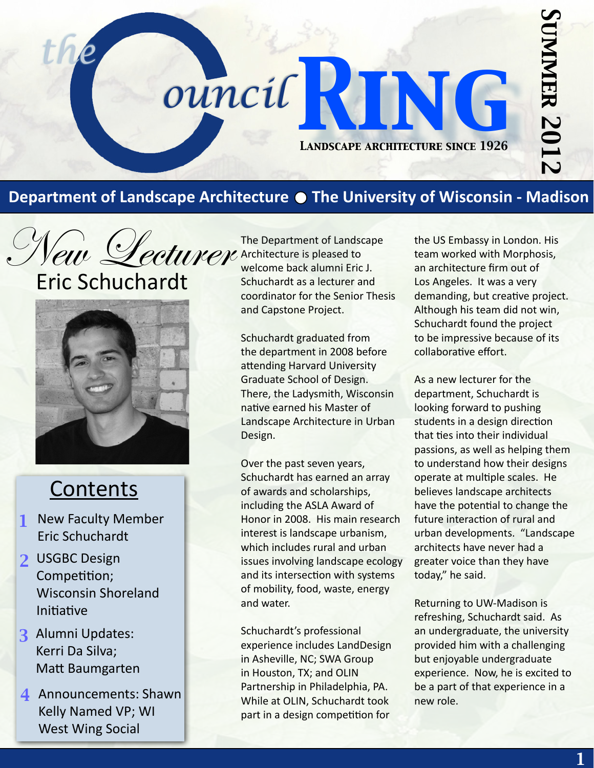# *Summer 2012* **UNIMER 2012**

## **Department of Landscape Architecture The University of Wisconsin - Madison**

*Landscape architecture since 1926*

the ouncil RING

*ouncil*

New Lecturer Eric Schuchardt



## **Contents**

- *1* New Faculty Member Eric Schuchardt
- *2* USGBC Design Competition; Wisconsin Shoreland Initiative
- *3* Alumni Updates: Kerri Da Silva; Matt Baumgarten
- *4* Announcements: Shawn Kelly Named VP; WI West Wing Social

The Department of Landscape Architecture is pleased to welcome back alumni Eric J. Schuchardt as a lecturer and coordinator for the Senior Thesis and Capstone Project.

Schuchardt graduated from the department in 2008 before attending Harvard University Graduate School of Design. There, the Ladysmith, Wisconsin native earned his Master of Landscape Architecture in Urban Design.

Over the past seven years, Schuchardt has earned an array of awards and scholarships, including the ASLA Award of Honor in 2008. His main research interest is landscape urbanism, which includes rural and urban issues involving landscape ecology and its intersection with systems of mobility, food, waste, energy and water.

Schuchardt's professional experience includes LandDesign in Asheville, NC; SWA Group in Houston, TX; and OLIN Partnership in Philadelphia, PA. While at OLIN, Schuchardt took part in a design competition for

the US Embassy in London. His team worked with Morphosis, an architecture firm out of Los Angeles. It was a very demanding, but creative project. Although his team did not win, Schuchardt found the project to be impressive because of its collaborative effort.

As a new lecturer for the department, Schuchardt is looking forward to pushing students in a design direction that ties into their individual passions, as well as helping them to understand how their designs operate at multiple scales. He believes landscape architects have the potential to change the future interaction of rural and urban developments. "Landscape architects have never had a greater voice than they have today," he said.

Returning to UW-Madison is refreshing, Schuchardt said. As an undergraduate, the university provided him with a challenging but enjoyable undergraduate experience. Now, he is excited to be a part of that experience in a new role.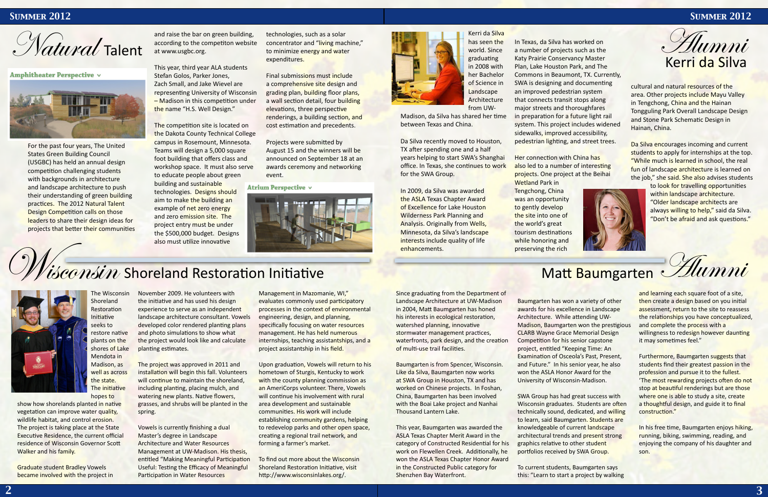

**Amphitheater Perspective v** 



## *Summer 2012 Summer 2012*

show how shorelands planted in native vegetation can improve water quality, wildlife habitat, and control erosion. The project is taking place at the State Executive Residence, the current official residence of Wisconsin Governor Scott Walker and his family.

The Wisconsin Shoreland **Restoration** Initiative seeks to restore native plants on the shores of Lake Mendota in Madison, as well as across the state. The initiative



Graduate student Bradley Vowels became involved with the project in The project was approved in 2011 and installation will begin this fall. Volunteers will continue to maintain the shoreland, including planting, placing mulch, and watering new plants. Native flowers, grasses, and shrubs will be planted in the spring.

November 2009. He volunteers with the initiative and has used his design experience to serve as an independent landscape architecture consultant. Vowels developed color rendered planting plans and photo simulations to show what the project would look like and calculate planting estimates.

> Vowels is currently finishing a dual Master's degree in Landscape Architecture and Water Resources Management at UW-Madison. His thesis, entitled "Making Meaningful Participation Useful: Testing the Efficacy of Meaningful Participation in Water Resources

Management in Mazomanie, WI," evaluates commonly used participatory processes in the context of environmental engineering, design, and planning, specifically focusing on water resources management. He has held numerous internships, teaching assistantships, and a project assistantship in his field.

Upon graduation, Vowels will return to his hometown of Sturgis, Kentucky to work with the county planning commission as an AmeriCorps volunteer. There, Vowels will continue his involvement with rural area development and sustainable communities. His work will include establishing community gardens, helping to redevelop parks and other open space, creating a regional trail network, and forming a farmer's market.

to look for travelling opportunities within landscape architecture. "Older landscape architects are always willing to help," said da Silva. "Don't be afraid and ask questions."



Matt Baumgarten Alumni

To find out more about the Wisconsin Shoreland Restoration Initiative, visit http://www.wisconsinlakes.org/.



and raise the bar on green building, according to the competiton website at www.usgbc.org.

This year, third year ALA students Stefan Golos, Parker Jones, Zach Small, and Jake Wievel are representing University of Wisconsin – Madison in this competition under the name "H.S. Well Design."

The competition site is located on the Dakota County Technical College campus in Rosemount, Minnesota. Teams will design a 5,000 square foot building that offers class and workshop space. It must also serve to educate people about green building and sustainable technologies. Designs should aim to make the building an example of net zero energy and zero emission site. The project entry must be under the \$500,000 budget. Designs also must utilize innovative

technologies, such as a solar concentrator and "living machine," to minimize energy and water expenditures.

> and learning each square foot of a site, then create a design based on you initial assessment, return to the site to reassess the relationships you have conceptualized, and complete the process with a willingness to redesign however daunting it may sometimes feel."

Final submissions must include a comprehensive site design and grading plan, building floor plans, a wall section detail, four building elevations, three perspective renderings, a building section, and cost estimation and precedents.

Projects were submitted by August 15 and the winners will be announced on September 18 at an awards ceremony and networking event.

Atrium Perspective v



## Visconsin Shoreland Restoration Initiative

Madison, da Silva has shared her time in preparation for a future light rail between Texas and China.

For the past four years, The United States Green Building Council (USGBC) has held an annual design competition challenging students with backgrounds in architecture and landscape architecture to push their understanding of green building practices. The 2012 Natural Talent Design Competition calls on those leaders to share their design ideas for projects that better their communities



cultural and natural resources of the area. Other projects include Mayu Valley in Tengchong, China and the Hainan Tongguling Park Overall Landscape Design and Stone Park Schematic Design in Hainan, China.

Da Silva encourages incoming and current students to apply for internships at the top. "While much is learned in school, the real fun of landscape architecture is learned on the job," she said. She also advises students

Since graduating from the Department of Landscape Architecture at UW-Madison in 2004, Matt Baumgarten has honed his interests in ecological restoration, watershed planning, innovative stormwater management practices, waterfronts, park design, and the creation of multi-use trail facilities.

Baumgarten is from Spencer, Wisconsin. Like da Silva, Baumgarten now works at SWA Group in Houston, TX and has worked on Chinese projects. In Foshan, China, Baumgarten has been involved with the Boai Lake project and Nanhai Thousand Lantern Lake.

This year, Baumgarten was awarded the ASLA Texas Chapter Merit Award in the category of Constructed Residential for his work on Flewellen Creek. Additionally, he won the ASLA Texas Chapter Honor Award in the Constructed Public category for Shenzhen Bay Waterfront.

Baumgarten has won a variety of other awards for his excellence in Landscape Architecture. While attending UW-Madison, Baumgarten won the prestigious CLARB Wayne Grace Memorial Design Competition for his senior capstone project, entitled "Keeping Time: An Examination of Osceola's Past, Present, and Future." In his senior year, he also won the ASLA Honor Award for the University of Wisconsin-Madison.

SWA Group has had great success with Wisconsin graduates. Students are often technically sound, dedicated, and willing to learn, said Baumgarten. Students are knowledgeable of current landscape architectural trends and present strong graphics relative to other student portfolios received by SWA Group.

To current students, Baumgarten says this: "Learn to start a project by walking

Furthermore, Baumgarten suggests that students find their greatest passion in the profession and pursue it to the fullest. 'The most rewarding projects often do not stop at beautiful renderings but are those where one is able to study a site, create a thoughtful design, and guide it to final construction."

In his free time, Baumgarten enjoys hiking, running, biking, swimming, reading, and enjoying the company of his daughter and son.

Kerri da Silva has seen the world. Since graduating in 2008 with her Bachelor of Science in Landscape Architecture from UW-

Da Silva recently moved to Houston, TX after spending one and a half years helping to start SWA's Shanghai office. In Texas, she continues to work for the SWA Group.

In 2009, da Silva was awarded the ASLA Texas Chapter Award of Excellence for Lake Houston Wilderness Park Planning and Analysis. Originally from Wells, Minnesota, da Silva's landscape interests include quality of life enhancements.

In Texas, da Silva has worked on a number of projects such as the Katy Prairie Conservancy Master Plan, Lake Houston Park, and The Commons in Beaumont, TX. Currently, SWA is designing and documenting an improved pedestrian system that connects transit stops along major streets and thoroughfares system. This project includes widened sidewalks, improved accessibility, pedestrian lighting, and street trees.

Her connection with China has also led to a number of interesting projects. One project at the Beihai Wetland Park in Tengchong, China was an opportunity to gently develop the site into one of the world's great tourism destinations while honoring and preserving the rich